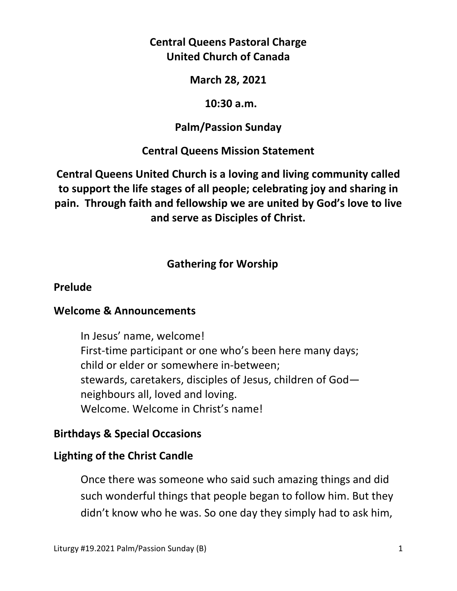# **Central Queens Pastoral Charge United Church of Canada**

### **March 28, 2021**

#### **10:30 a.m.**

## **Palm/Passion Sunday**

## **Central Queens Mission Statement**

**Central Queens United Church is a loving and living community called to support the life stages of all people; celebrating joy and sharing in pain. Through faith and fellowship we are united by God's love to live and serve as Disciples of Christ.**

# **Gathering for Worship**

#### **Prelude**

## **Welcome & Announcements**

In Jesus' name, welcome! First-time participant or one who's been here many days; child or elder or somewhere in-between; stewards, caretakers, disciples of Jesus, children of God neighbours all, loved and loving. Welcome. Welcome in Christ's name!

## **Birthdays & Special Occasions**

## **Lighting of the Christ Candle**

Once there was someone who said such amazing things and did such wonderful things that people began to follow him. But they didn't know who he was. So one day they simply had to ask him,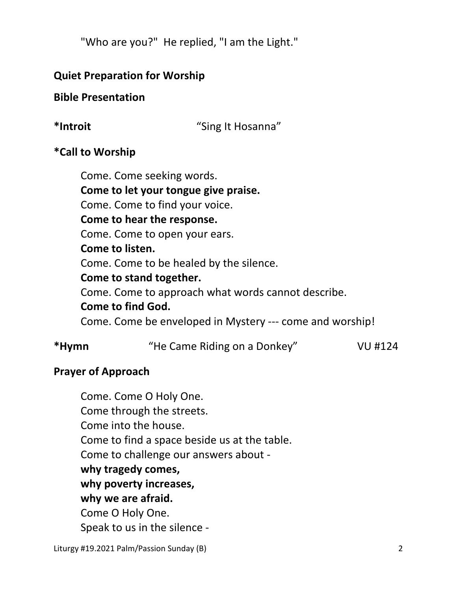"Who are you?" He replied, "I am the Light."

## **Quiet Preparation for Worship**

## **Bible Presentation**

**\*Introit** "Sing It Hosanna"

## **\*Call to Worship**

 Come. Come seeking words.  **Come to let your tongue give praise.** Come. Come to find your voice.  **Come to hear the response.** Come. Come to open your ears.  **Come to listen.** Come. Come to be healed by the silence.  **Come to stand together.** Come. Come to approach what words cannot describe.  **Come to find God.**  Come. Come be enveloped in Mystery --- come and worship!

# **\*Hymn** "He Came Riding on a Donkey" VU #124

## **Prayer of Approach**

 Come. Come O Holy One. Come through the streets. Come into the house. Come to find a space beside us at the table. Come to challenge our answers about  **why tragedy comes, why poverty increases, why we are afraid.** Come O Holy One. Speak to us in the silence -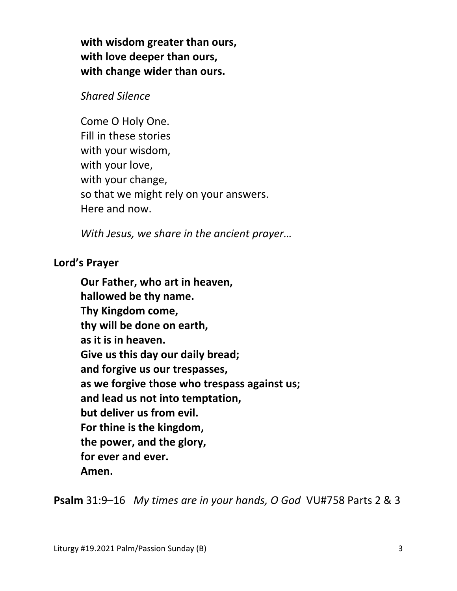**with wisdom greater than ours, with love deeper than ours, with change wider than ours.**

*Shared Silence* 

 Come O Holy One. Fill in these stories with your wisdom, with your love, with your change, so that we might rely on your answers. Here and now.

*With Jesus, we share in the ancient prayer…* 

**Lord's Prayer** 

**Our Father, who art in heaven, hallowed be thy name. Thy Kingdom come, thy will be done on earth, as it is in heaven. Give us this day our daily bread; and forgive us our trespasses, as we forgive those who trespass against us; and lead us not into temptation, but deliver us from evil. For thine is the kingdom, the power, and the glory, for ever and ever. Amen.** 

**Psalm** 31:9–16 *My times are in your hands, O God* VU#758 Parts 2 & 3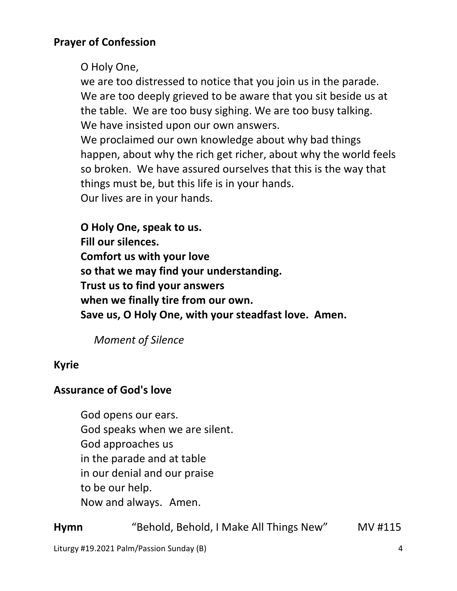O Holy One,

 we are too distressed to notice that you join us in the parade. We are too deeply grieved to be aware that you sit beside us at the table. We are too busy sighing. We are too busy talking. We have insisted upon our own answers.

 We proclaimed our own knowledge about why bad things happen, about why the rich get richer, about why the world feels so broken. We have assured ourselves that this is the way that things must be, but this life is in your hands. Our lives are in your hands.

 **O Holy One, speak to us. Fill our silences. Comfort us with your love so that we may find your understanding. Trust us to find your answers when we finally tire from our own. Save us, O Holy One, with your steadfast love. Amen.**

 *Moment of Silence* 

# **Kyrie**

## **Assurance of God's love**

God opens our ears. God speaks when we are silent. God approaches us in the parade and at table in our denial and our praise to be our help. Now and always. Amen.

**Hymn** "Behold, Behold, I Make All Things New" MV #115

Liturgy #19.2021 Palm/Passion Sunday (B) 4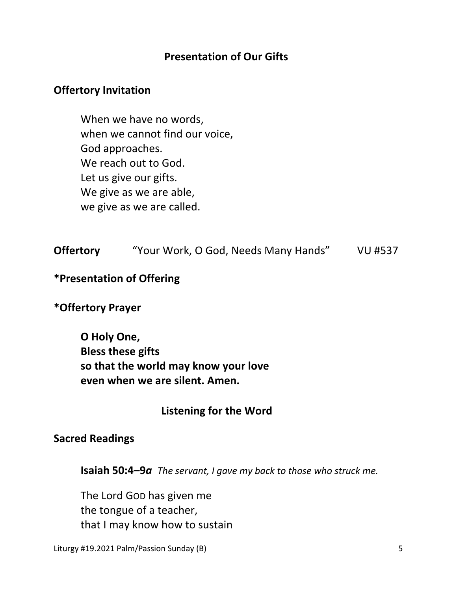## **Presentation of Our Gifts**

#### **Offertory Invitation**

 When we have no words, when we cannot find our voice, God approaches. We reach out to God. Let us give our gifts. We give as we are able, we give as we are called.

| <b>Offertory</b> | "Your Work, O God, Needs Many Hands" | <b>VU #537</b> |
|------------------|--------------------------------------|----------------|
|------------------|--------------------------------------|----------------|

#### **\*Presentation of Offering**

#### **\*Offertory Prayer**

 **O Holy One, Bless these gifts so that the world may know your love even when we are silent. Amen.**

#### **Listening for the Word**

#### **Sacred Readings**

 **Isaiah 50:4–9***a The servant, I gave my back to those who struck me.*

 The Lord GOD has given me the tongue of a teacher, that I may know how to sustain

Liturgy #19.2021 Palm/Passion Sunday (B) 5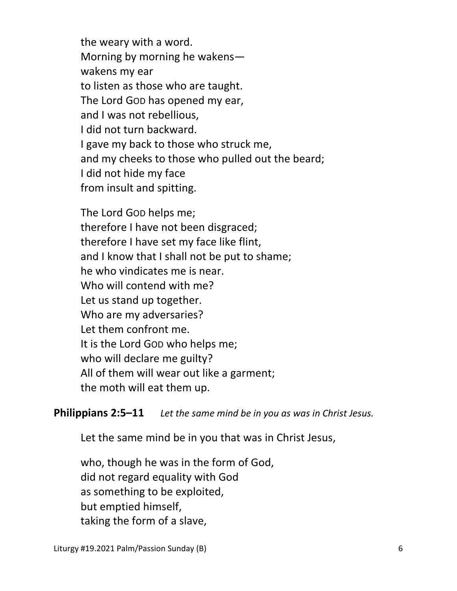the weary with a word. Morning by morning he wakens wakens my ear to listen as those who are taught. The Lord GOD has opened my ear, and I was not rebellious, I did not turn backward. I gave my back to those who struck me, and my cheeks to those who pulled out the beard; I did not hide my face from insult and spitting.

The Lord GOD helps me; therefore I have not been disgraced; therefore I have set my face like flint, and I know that I shall not be put to shame; he who vindicates me is near. Who will contend with me? Let us stand up together. Who are my adversaries? Let them confront me. It is the Lord GOD who helps me; who will declare me guilty? All of them will wear out like a garment; the moth will eat them up.

**Philippians 2:5–11** *Let the same mind be in you as was in Christ Jesus.*

Let the same mind be in you that was in Christ Jesus,

who, though he was in the form of God, did not regard equality with God as something to be exploited, but emptied himself, taking the form of a slave,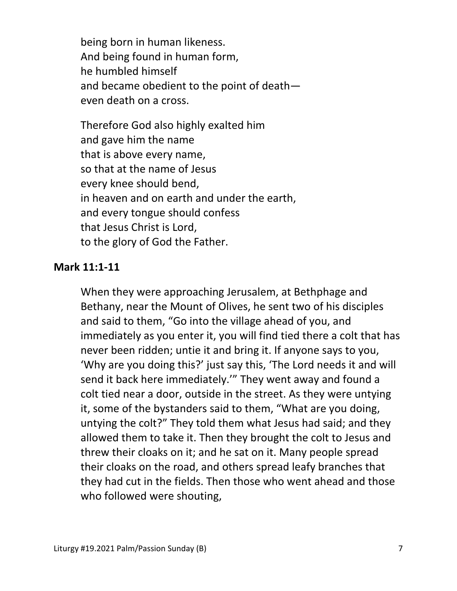being born in human likeness. And being found in human form, he humbled himself and became obedient to the point of death even death on a cross.

Therefore God also highly exalted him and gave him the name that is above every name, so that at the name of Jesus every knee should bend, in heaven and on earth and under the earth, and every tongue should confess that Jesus Christ is Lord, to the glory of God the Father.

#### **Mark 11:1-11**

 When they were approaching Jerusalem, at Bethphage and Bethany, near the Mount of Olives, he sent two of his disciples and said to them, "Go into the village ahead of you, and immediately as you enter it, you will find tied there a colt that has never been ridden; untie it and bring it. If anyone says to you, 'Why are you doing this?' just say this, 'The Lord needs it and will send it back here immediately.'" They went away and found a colt tied near a door, outside in the street. As they were untying it, some of the bystanders said to them, "What are you doing, untying the colt?" They told them what Jesus had said; and they allowed them to take it. Then they brought the colt to Jesus and threw their cloaks on it; and he sat on it. Many people spread their cloaks on the road, and others spread leafy branches that they had cut in the fields. Then those who went ahead and those who followed were shouting,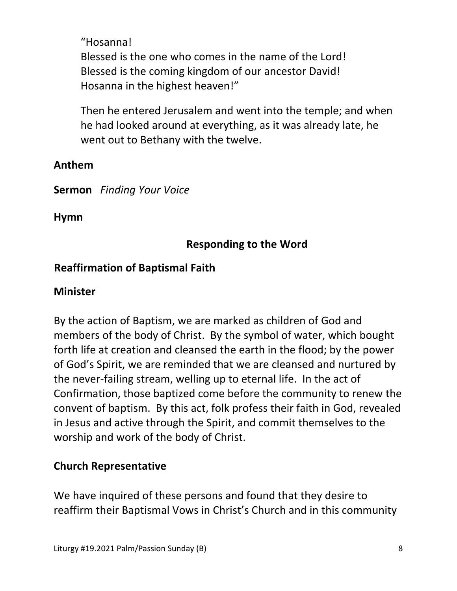"Hosanna! Blessed is the one who comes in the name of the Lord! Blessed is the coming kingdom of our ancestor David! Hosanna in the highest heaven!"

Then he entered Jerusalem and went into the temple; and when he had looked around at everything, as it was already late, he went out to Bethany with the twelve.

## **Anthem**

**Sermon** *Finding Your Voice* 

**Hymn** 

# **Responding to the Word**

# **Reaffirmation of Baptismal Faith**

## **Minister**

By the action of Baptism, we are marked as children of God and members of the body of Christ. By the symbol of water, which bought forth life at creation and cleansed the earth in the flood; by the power of God's Spirit, we are reminded that we are cleansed and nurtured by the never-failing stream, welling up to eternal life. In the act of Confirmation, those baptized come before the community to renew the convent of baptism. By this act, folk profess their faith in God, revealed in Jesus and active through the Spirit, and commit themselves to the worship and work of the body of Christ.

# **Church Representative**

We have inquired of these persons and found that they desire to reaffirm their Baptismal Vows in Christ's Church and in this community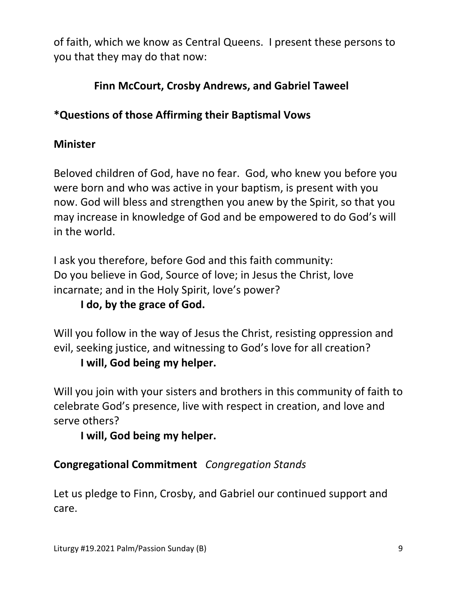of faith, which we know as Central Queens. I present these persons to you that they may do that now:

# **Finn McCourt, Crosby Andrews, and Gabriel Taweel**

# **\*Questions of those Affirming their Baptismal Vows**

## **Minister**

Beloved children of God, have no fear. God, who knew you before you were born and who was active in your baptism, is present with you now. God will bless and strengthen you anew by the Spirit, so that you may increase in knowledge of God and be empowered to do God's will in the world.

I ask you therefore, before God and this faith community: Do you believe in God, Source of love; in Jesus the Christ, love incarnate; and in the Holy Spirit, love's power?

# **I do, by the grace of God.**

Will you follow in the way of Jesus the Christ, resisting oppression and evil, seeking justice, and witnessing to God's love for all creation?

## **I will, God being my helper.**

Will you join with your sisters and brothers in this community of faith to celebrate God's presence, live with respect in creation, and love and serve others?

## **I will, God being my helper.**

# **Congregational Commitment** *Congregation Stands*

Let us pledge to Finn, Crosby, and Gabriel our continued support and care.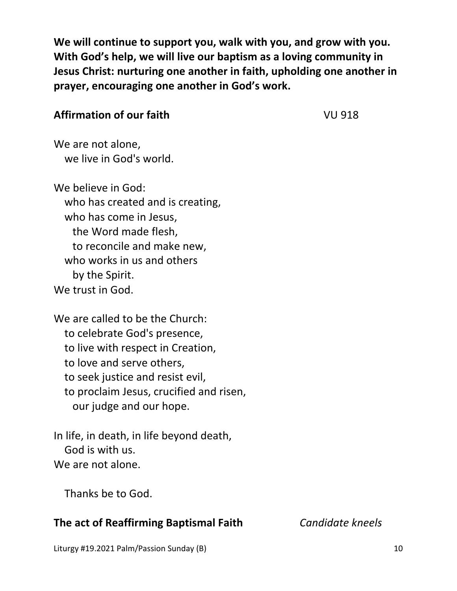**We will continue to support you, walk with you, and grow with you. With God's help, we will live our baptism as a loving community in Jesus Christ: nurturing one another in faith, upholding one another in prayer, encouraging one another in God's work.** 

## **Affirmation of our faith VU 918**

We are not alone, we live in God's world.

We believe in God: who has created and is creating, who has come in Jesus, the Word made flesh, to reconcile and make new, who works in us and others by the Spirit. We trust in God.

We are called to be the Church: to celebrate God's presence, to live with respect in Creation, to love and serve others, to seek justice and resist evil, to proclaim Jesus, crucified and risen, our judge and our hope.

In life, in death, in life beyond death, God is with us. We are not alone.

Thanks be to God.

# **The act of Reaffirming Baptismal Faith** *Candidate kneels*

Liturgy #19.2021 Palm/Passion Sunday (B) 10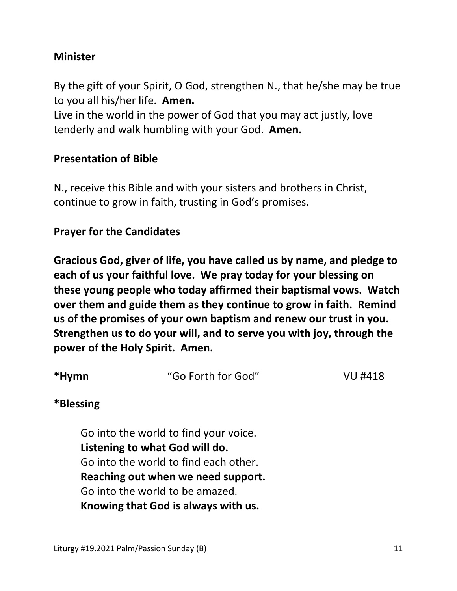## **Minister**

By the gift of your Spirit, O God, strengthen N., that he/she may be true to you all his/her life. **Amen.** 

Live in the world in the power of God that you may act justly, love tenderly and walk humbling with your God. **Amen.** 

#### **Presentation of Bible**

N., receive this Bible and with your sisters and brothers in Christ, continue to grow in faith, trusting in God's promises.

#### **Prayer for the Candidates**

**Gracious God, giver of life, you have called us by name, and pledge to each of us your faithful love. We pray today for your blessing on these young people who today affirmed their baptismal vows. Watch over them and guide them as they continue to grow in faith. Remind us of the promises of your own baptism and renew our trust in you. Strengthen us to do your will, and to serve you with joy, through the power of the Holy Spirit. Amen.** 

| *Hymn | "Go Forth for God" | VU #418 |
|-------|--------------------|---------|
|       |                    |         |

#### **\*Blessing**

 Go into the world to find your voice.  **Listening to what God will do.** Go into the world to find each other.  **Reaching out when we need support.** Go into the world to be amazed.  **Knowing that God is always with us.**